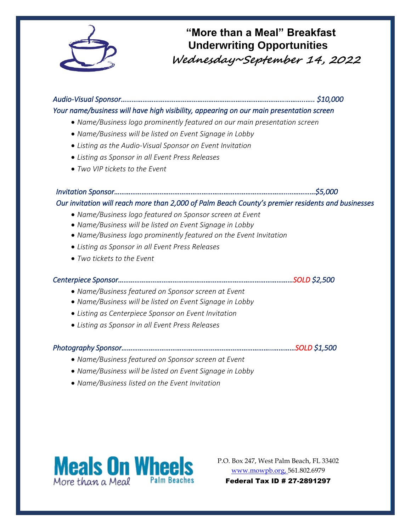

## **"More than a Meal" Breakfast Underwriting Opportunities Wednesday~September 14, 2022**

*Audio-Visual Sponsor………………………………………………………………………………………..….. \$10,000 Your name/business will have high visibility, appearing on our main presentation screen* 

- *Name/Business logo prominently featured on our main presentation screen*
- *Name/Business will be listed on Event Signage in Lobby*
- *Listing as the Audio-Visual Sponsor on Event Invitation*
- *Listing as Sponsor in all Event Press Releases*
- *Two VIP tickets to the Event*

### *Invitation Sponsor…………………………………………………………………………………..……………\$5,000*

#### *Our invitation will reach more than 2,000 of Palm Beach County's premier residents and businesses*

- *Name/Business logo featured on Sponsor screen at Event*
- *Name/Business will be listed on Event Signage in Lobby*
- *Name/Business logo prominently featured on the Event Invitation*
- *Listing as Sponsor in all Event Press Releases*
- *Two tickets to the Event*

#### *Centerpiece Sponsor……………………………………………………………………………………SOLD \$2,500*

- *Name/Business featured on Sponsor screen at Event*
- *Name/Business will be listed on Event Signage in Lobby*
- *Listing as Centerpiece Sponsor on Event Invitation*
- *Listing as Sponsor in all Event Press Releases*

#### *Photography Sponsor………………………………………………………………………..…………SOLD \$1,500*

- *Name/Business featured on Sponsor screen at Event*
- *Name/Business will be listed on Event Signage in Lobby*
- *Name/Business listed on the Event Invitation*



P.O. Box 247, West Palm Beach, FL 33402 [www.mowpb.org,](http://www.mowpb.org/) 561.802.6979 Federal Tax ID # 27-2891297